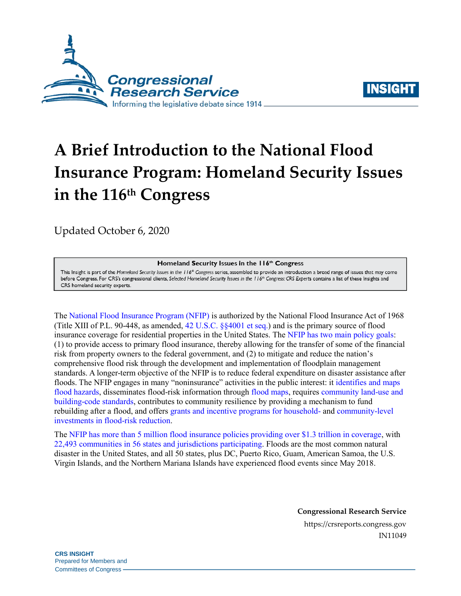



# **A Brief Introduction to the National Flood Insurance Program: Homeland Security Issues in the 116th Congress**

[Updated October 6, 2020](https://crsreports.congress.gov/product/pdf/R/R45701)

Homeland Security Issues in the 116th Congress

This Insight is part of the Homeland Security Issues in the 116<sup>th</sup> Congress series, assembled to provide an introduction a broad range of issues that may come before Congress. For CRS's congressional clients, Selected Homeland Security Issues in the 116th Congress: CRS Experts contains a list of these Insights and CRS homeland security experts.

The [National Flood Insurance Program \(NFIP\)](https://crsreports.congress.gov/product/pdf/R/R44593) is authorized by the National Flood Insurance Act of 1968 (Title XIII of P.L. 90-448, as amended, [42 U.S.C. §§4001 et seq.\)](http://uscode.house.gov/view.xhtml?req=(title:42%20section:4001%20edition:prelim)%20OR%20(granuleid:USC-prelim-title42-section4001)&f=treesort&edition=prelim&num=0&jumpTo=true) and is the primary source of flood insurance coverage for residential properties in the United States. The [NFIP has two main policy goals:](https://crsreports.congress.gov/product/pdf/R/R44593) (1) to provide access to primary flood insurance, thereby allowing for the transfer of some of the financial risk from property owners to the federal government, and (2) to mitigate and reduce the nation's comprehensive flood risk through the development and implementation of floodplain management standards. A longer-term objective of the NFIP is to reduce federal expenditure on disaster assistance after floods. The NFIP engages in many "noninsurance" activities in the public interest: it [identifies and maps](https://www.fema.gov/flood-maps/tools-resources/risk-map)  [flood hazards,](https://www.fema.gov/flood-maps/tools-resources/risk-map) disseminates flood-risk information through [flood maps,](https://www.fema.gov/flood-maps) require[s community land-use and](https://www.ecfr.gov/cgi-bin/text-idx?rgn=div5&node=44:1.0.1.2.27)  [building-code standards,](https://www.ecfr.gov/cgi-bin/text-idx?rgn=div5&node=44:1.0.1.2.27) contributes to community resilience by providing a mechanism to fund rebuilding after a flood, and offers [grants and incentive programs for household-](https://www.fema.gov/grants/mitigation/floods) and [community-level](https://www.fema.gov/flood-insurance/rules-legislation/community-rating-system)  [investments in flood-risk reduction.](https://www.fema.gov/flood-insurance/rules-legislation/community-rating-system)

The [NFIP has more than 5 million flood insurance policies providing over \\$1.3 trillion in coverage,](https://www.fema.gov/sites/default/files/2020-09/fema_watermark_report_06-2020.pdf) with [22,493 communities in 56 states and jurisdictions participating.](https://www.fema.gov/sites/default/files/2020-09/fema_watermark_report_06-2020.pdf) Floods are the most common natural disaster in the United States, and all 50 states, plus DC, Puerto Rico, Guam, American Samoa, the U.S. Virgin Islands, and the Northern Mariana Islands have experienced flood events since May 2018.

**Congressional Research Service**

https://crsreports.congress.gov IN11049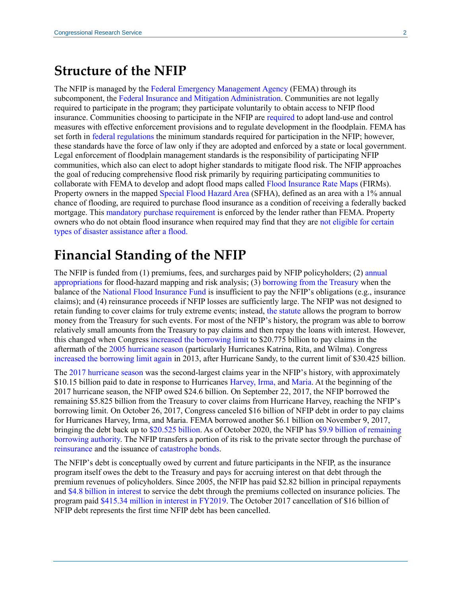### **Structure of the NFIP**

The NFIP is managed by the [Federal Emergency Management Agency](https://www.fema.gov/) (FEMA) through its subcomponent, the [Federal Insurance and Mitigation Administration.](https://www.fema.gov/about/offices/insurance-mitigation) Communities are not legally required to participate in the program; they participate voluntarily to obtain access to NFIP flood insurance. Communities choosing to participate in the NFIP are [required](https://www.fema.gov/floodplain-management/manage-risk/local) to adopt land-use and control measures with effective enforcement provisions and to regulate development in the floodplain. FEMA has set forth in [federal regulations](https://www.ecfr.gov/cgi-bin/text-idx?rgn=div5&node=44:1.0.1.2.27) the minimum standards required for participation in the NFIP; however, these standards have the force of law only if they are adopted and enforced by a state or local government. Legal enforcement of floodplain management standards is the responsibility of participating NFIP communities, which also can elect to adopt higher standards to mitigate flood risk. The NFIP approaches the goal of reducing comprehensive flood risk primarily by requiring participating communities to collaborate with FEMA to develop and adopt flood maps called [Flood Insurance Rate Maps](https://www.fema.gov/glossary/flood-insurance-rate-map-firm) (FIRMs). Property owners in the mapped [Special Flood Hazard Area](https://www.fema.gov/glossary/special-flood-hazard-area-sfha) (SFHA), defined as an area with a 1% annual chance of flooding, are required to purchase flood insurance as a condition of receiving a federally backed mortgage. This [mandatory purchase requirement](https://www.fema.gov/media-library/assets/audio/166198) is enforced by the lender rather than FEMA. Property owners who do not obtain flood insurance when required may find that they are [not eligible for certain](https://crsreports.congress.gov/product/pdf/R/R44808)  [types of disaster assistance after a flood.](https://crsreports.congress.gov/product/pdf/R/R44808)

## **Financial Standing of the NFIP**

The NFIP is funded from (1) premiums, fees, and surcharges paid by NFIP policyholders; (2) [annual](https://crsreports.congress.gov/product/pdf/R/R44593)  [appropriations](https://crsreports.congress.gov/product/pdf/R/R44593) for flood-hazard mapping and risk analysis; (3) [borrowing from the Treasury](https://crsreports.congress.gov/product/pdf/IN/IN10784) when the balance of the [National Flood Insurance Fund](https://www.gpo.gov/fdsys/granule/USCODE-2010-title42/USCODE-2010-title42-chap50-subchapI-sec4017) is insufficient to pay the NFIP's obligations (e.g., insurance claims); and (4) reinsurance proceeds if NFIP losses are sufficiently large. The NFIP was not designed to retain funding to cover claims for truly extreme events; instead, [the statute](http://uscode.house.gov/view.xhtml?req=(title:42%20section:4016%20edition:prelim)%20OR%20(granuleid:USC-prelim-title42-section4016)&f=treesort&edition=prelim&num=0&jumpTo=true) allows the program to borrow money from the Treasury for such events. For most of the NFIP's history, the program was able to borrow relatively small amounts from the Treasury to pay claims and then repay the loans with interest. However, this changed when Congress [increased the borrowing limit](https://www.congress.gov/109/plaws/publ208/PLAW-109publ208.pdf) to \$20.775 billion to pay claims in the aftermath of the [2005 hurricane season](https://www.ncdc.noaa.gov/sotc/tropical-cyclones/200513) (particularly Hurricanes Katrina, Rita, and Wilma). Congress [increased the borrowing limit again](https://www.congress.gov/113/plaws/publ1/PLAW-113publ1.pdf) in 2013, after Hurricane Sandy, to the current limit of \$30.425 billion.

The [2017 hurricane season](https://www.noaa.gov/media-release/extremely-active-2017-atlantic-hurricane-season-finally-ends) was the second-largest claims year in the NFIP's history, with approximately \$10.15 billion paid to date in response to Hurricanes [Harvey,](https://www.nhc.noaa.gov/data/tcr/AL092017_Harvey.pdf) [Irma,](https://www.nhc.noaa.gov/data/tcr/AL112017_Irma.pdf) and [Maria.](https://www.nhc.noaa.gov/data/tcr/AL152017_Maria.pdf) At the beginning of the 2017 hurricane season, the NFIP owed \$24.6 billion. On September 22, 2017, the NFIP borrowed the remaining \$5.825 billion from the Treasury to cover claims from Hurricane Harvey, reaching the NFIP's borrowing limit. On October 26, 2017, Congress canceled \$16 billion of NFIP debt in order to pay claims for Hurricanes Harvey, Irma, and Maria. FEMA borrowed another \$6.1 billion on November 9, 2017, bringing the debt back up to [\\$20.525 billion.](https://www.fema.gov/flood-insurance/work-with-nfip/watermark-financial-statementshttps:/www.fema.gov/media-library-data/1545397661560-304b80840df679ceecbb1cf8c20a8f96/fima-watermark-2018-q4-508compliant2.pdf) As of October 2020, the NFIP has [\\$9.9 billion of remaining](https://www.fema.gov/flood-insurance/work-with-nfip/watermark-financial-statementshttps:/www.fema.gov/media-library-data/1545397661560-304b80840df679ceecbb1cf8c20a8f96/fima-watermark-2018-q4-508compliant2.pdf)  [borrowing authority.](https://www.fema.gov/flood-insurance/work-with-nfip/watermark-financial-statementshttps:/www.fema.gov/media-library-data/1545397661560-304b80840df679ceecbb1cf8c20a8f96/fima-watermark-2018-q4-508compliant2.pdf) The NFIP transfers a portion of its risk to the private sector through the purchase of [reinsurance](https://content.naic.org/cipr_topics/topic_reinsurance.htm) and the issuance of [catastrophe bonds.](https://crsreports.congress.gov/product/pdf/IN/IN10965)

The NFIP's debt is conceptually owed by current and future participants in the NFIP, as the insurance program itself owes the debt to the Treasury and pays for accruing interest on that debt through the premium revenues of policyholders. Since 2005, the NFIP has paid \$2.82 billion in principal repayments and [\\$4.8 billion in interest](https://www.fema.gov/flood-insurance/work-with-nfip/watermark-financial-statementshttps:/www.fema.gov/media-library-data/1545397661560-304b80840df679ceecbb1cf8c20a8f96/fima-watermark-2018-q4-508compliant2.pdf) to service the debt through the premiums collected on insurance policies. The program pai[d \\$415.34 million in interest in FY2019.](https://www.fema.gov/sites/default/files/2020-09/fema_watermark_report_06-2020.pdf) The October 2017 cancellation of \$16 billion of NFIP debt represents the first time NFIP debt has been cancelled.